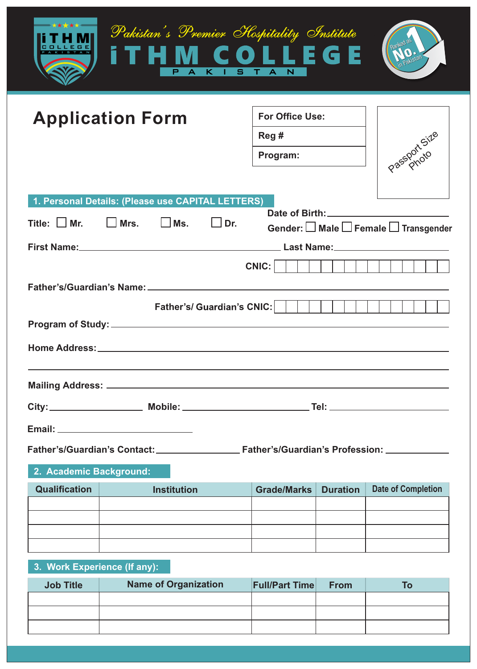|                                                                                  |                                                   | Pakistan's Premier Hospitality Institute<br>P.<br>$\mathbf{A}$<br>K I S T A | li s<br>COLL<br>$\overline{\mathsf{N}}$    |                 |                                              |  |  |  |
|----------------------------------------------------------------------------------|---------------------------------------------------|-----------------------------------------------------------------------------|--------------------------------------------|-----------------|----------------------------------------------|--|--|--|
|                                                                                  | <b>Application Form</b>                           |                                                                             | <b>For Office Use:</b><br>Reg#<br>Program: |                 | Passport Size                                |  |  |  |
|                                                                                  | 1. Personal Details: (Please use CAPITAL LETTERS) |                                                                             |                                            |                 |                                              |  |  |  |
| Title: $\Box$ Mr.                                                                | │ │Mrs.                                           | IIMs.<br>$ $ Dr.                                                            |                                            |                 | Gender: <b>□</b> Male □ Female □ Transgender |  |  |  |
|                                                                                  |                                                   |                                                                             |                                            |                 |                                              |  |  |  |
|                                                                                  |                                                   |                                                                             | CNIC:                                      |                 |                                              |  |  |  |
| <b>Father's/ Guardian's CNIC:</b>                                                |                                                   |                                                                             |                                            |                 |                                              |  |  |  |
|                                                                                  |                                                   |                                                                             |                                            |                 |                                              |  |  |  |
|                                                                                  |                                                   |                                                                             |                                            |                 |                                              |  |  |  |
|                                                                                  |                                                   |                                                                             |                                            |                 |                                              |  |  |  |
|                                                                                  |                                                   |                                                                             |                                            |                 |                                              |  |  |  |
| Father's/Guardian's Contact: Father's/Guardian's Profession: ___________________ |                                                   |                                                                             |                                            |                 |                                              |  |  |  |
| 2. Academic Background:                                                          |                                                   |                                                                             |                                            |                 |                                              |  |  |  |
| <b>Qualification</b>                                                             | <b>Institution</b>                                |                                                                             | <b>Grade/Marks</b>                         | <b>Duration</b> | <b>Date of Completion</b>                    |  |  |  |
|                                                                                  |                                                   |                                                                             |                                            |                 |                                              |  |  |  |
|                                                                                  |                                                   |                                                                             |                                            |                 |                                              |  |  |  |
|                                                                                  |                                                   |                                                                             |                                            |                 |                                              |  |  |  |

## **3. Work Experience (If any):**

| <b>Job Title</b> | <b>Name of Organization</b> | <b>Full/Part Time</b> | From |  |
|------------------|-----------------------------|-----------------------|------|--|
|                  |                             |                       |      |  |
|                  |                             |                       |      |  |
|                  |                             |                       |      |  |